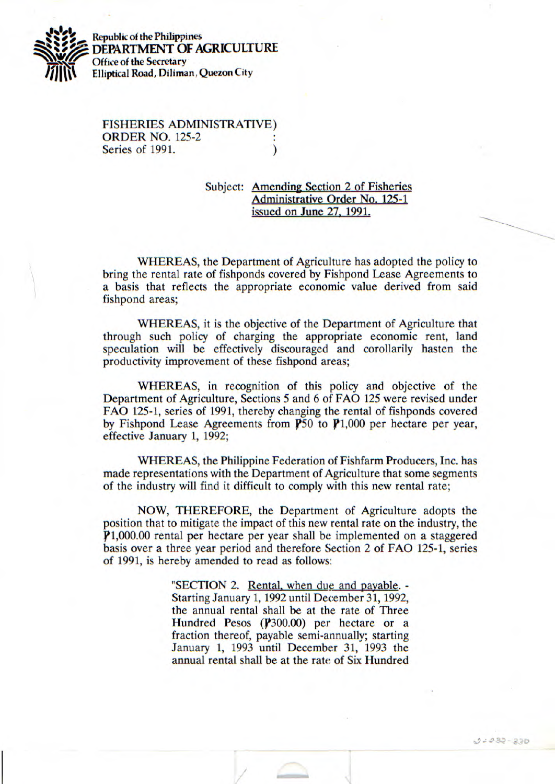

**Republic of the Philippines DEPARTMENT OF AGRICULTURE Office of the Secretary /Jflt Elliptical Road, Diliman, Quezon City** 

FISHERIES ADMINISTRATIVE) ORDER NO. 125-2 Series of 1991.

## Subject: Amending Section 2 of Fisheries Administrative Order No. 125-1 issued on **June** 27, 1991.

WHEREAS, the Department of Agriculture has adopted the policy to bring the rental rate of fishponds covered by Fishpond Lease Agreements to a basis that reflects the appropriate economic value derived from said fishpond areas;

WHEREAS, it is the objective of the Department of Agriculture that through such policy of charging the appropriate economic rent, land speculation will be effectively discouraged and corollarily hasten the productivity improvement of these fishpond areas;

WHEREAS, in recognition of this policy and objective of the Department of Agriculture, Sections *5* and 6 of FAO 125 were revised under FAO 125-1, series of 1991, thereby changing the rental of fishponds covered by Fishpond Lease Agreements from **P**50 to **P**1,000 per hectare per year, effective January 1, 1992;

WHEREAS, the Philippine Federation of Fishfarm Producers, Inc. has made representations with the Department of Agriculture that some segments of the industry will find it difficult to comply with this new rental rate;

NOW, THEREFORE, the Department of Agriculture adopts the position that to mitigate the impact of this new rental rate on the industry, the 1,000.00 rental per hectare per year shall be implemented on a staggered basis over a three year period and therefore Section 2 of FAO 125-1, series of 1991, is hereby amended to read as follows:

> "SECTION 2. Rental, when due and payable. - Starting January 1, 1992 until December 31, 1992, the annual rental shall be at the rate of Three Hundred Pesos (P300.00) per hectare or a fraction thereof, payable semi-annually; starting January 1, 1993 until December 31, 1993 the annual rental shall be at the rate of Six Hundred